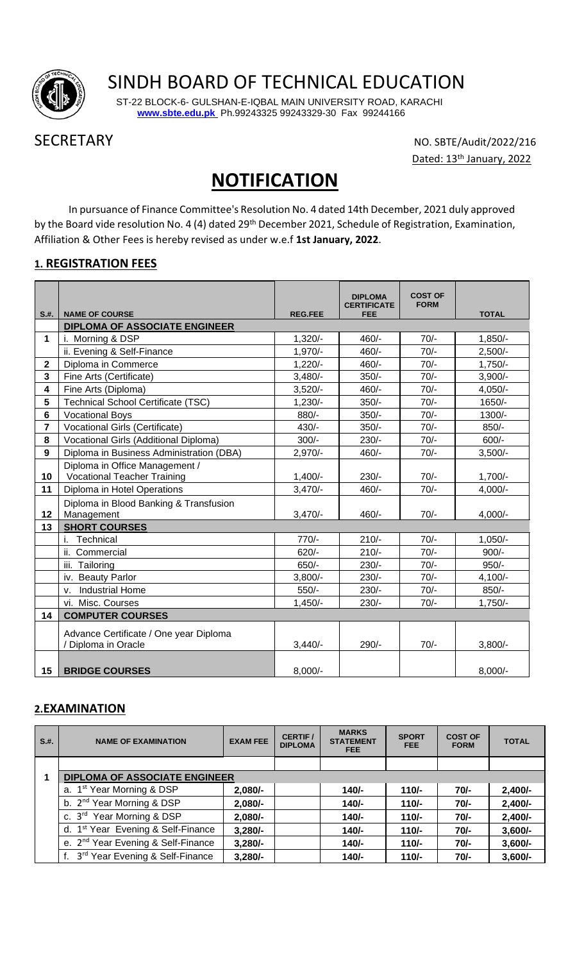

# SINDH BOARD OF TECHNICAL EDUCATION

 ST-22 BLOCK-6- GULSHAN-E-IQBAL MAIN UNIVERSITY ROAD, KARACHI **[www.sbte.edu.pk](http://www.sbte.edu.pk/)** Ph.99243325 99243329-30 Fax 99244166

SECRETARY NO. SBTE/Audit/2022/216 Dated: 13<sup>th</sup> January, 2022

# **NOTIFICATION**

In pursuance of Finance Committee's Resolution No. 4 dated 14th December, 2021 duly approved by the Board vide resolution No. 4 (4) dated 29<sup>th</sup> December 2021, Schedule of Registration, Examination, Affiliation & Other Fees is hereby revised as under w.e.f **1st January, 2022**.

### **1. REGISTRATION FEES**

|                |                                                               |                | <b>DIPLOMA</b><br><b>CERTIFICATE</b> | <b>COST OF</b><br><b>FORM</b> |              |
|----------------|---------------------------------------------------------------|----------------|--------------------------------------|-------------------------------|--------------|
| S.H.           | <b>NAME OF COURSE</b><br><b>DIPLOMA OF ASSOCIATE ENGINEER</b> | <b>REG.FEE</b> | <b>FEE</b>                           |                               | <b>TOTAL</b> |
| $\mathbf{1}$   | i. Morning & DSP                                              | $1,320/-$      | 460/-                                | $70/-$                        | $1,850/-$    |
|                | ii. Evening & Self-Finance                                    | $1,970/-$      | 460/-                                | $70/-$                        | $2,500/-$    |
| $\mathbf 2$    | Diploma in Commerce                                           | $1,220/-$      | 460/-                                | $70/-$                        | $1,750/-$    |
| $\mathbf{3}$   | Fine Arts (Certificate)                                       | $3,480/-$      | $350/-$                              | $70/-$                        | $3,900/-$    |
| 4              | Fine Arts (Diploma)                                           | $3,520/-$      | 460/-                                | $70/-$                        | $4,050/-$    |
| 5              | Technical School Certificate (TSC)                            | $1,230/-$      | $350/-$                              | $70/-$                        | 1650/-       |
| 6              | <b>Vocational Boys</b>                                        | $880/-$        | $350/-$                              | $70/-$                        | 1300/-       |
| $\overline{7}$ | Vocational Girls (Certificate)                                | $430/-$        | $350/-$                              | $70/-$                        | 850/-        |
| 8              | Vocational Girls (Additional Diploma)                         | $300/-$        | $230/-$                              | $70/-$                        | 600/-        |
| 9              | Diploma in Business Administration (DBA)                      | $2,970/-$      | 460/-                                | $70/-$                        | $3,500/-$    |
|                | Diploma in Office Management /                                |                |                                      |                               |              |
| 10             | <b>Vocational Teacher Training</b>                            | $1,400/-$      | $230/-$                              | $70/-$                        | $1,700/-$    |
| 11             | Diploma in Hotel Operations                                   | $3,470/-$      | 460/-                                | $70/-$                        | $4,000/-$    |
|                | Diploma in Blood Banking & Transfusion                        |                |                                      |                               |              |
| 12             | Management                                                    | $3,470/-$      | 460/-                                | $70/-$                        | $4,000/-$    |
| 13             | <b>SHORT COURSES</b>                                          |                |                                      |                               |              |
|                | i. Technical                                                  | $770/-$        | $210/-$                              | $70/-$                        | $1,050/-$    |
|                | ii. Commercial                                                | $620/-$        | $210/-$                              | $70/-$                        | $900/-$      |
|                | iii. Tailoring                                                | $650/-$        | $230/-$                              | $70/-$                        | $950/-$      |
|                | iv. Beauty Parlor                                             | $3,800/-$      | $230/-$                              | $70/-$                        | $4,100/-$    |
|                | <b>Industrial Home</b><br>ν.                                  | $550/-$        | $230/-$                              | $70/-$                        | 850/-        |
|                | vi. Misc. Courses                                             | $1,450/-$      | $230/-$                              | $70/-$                        | $1,750/-$    |
| 14             | <b>COMPUTER COURSES</b>                                       |                |                                      |                               |              |
|                | Advance Certificate / One year Diploma                        |                |                                      |                               |              |
|                | / Diploma in Oracle                                           | $3,440/$ -     | 290/-                                | $70/-$                        | $3,800/-$    |
|                |                                                               |                |                                      |                               |              |
| 15             | <b>BRIDGE COURSES</b>                                         | $8,000/-$      |                                      |                               | $8,000/-$    |

#### **2.EXAMINATION**

| S.H. | <b>NAME OF EXAMINATION</b>                     | <b>EXAM FEE</b> | <b>CERTIF/</b><br><b>DIPLOMA</b> | <b>MARKS</b><br><b>STATEMENT</b><br><b>FEE</b> | <b>SPORT</b><br>FEE. | <b>COST OF</b><br><b>FORM</b> | <b>TOTAL</b> |
|------|------------------------------------------------|-----------------|----------------------------------|------------------------------------------------|----------------------|-------------------------------|--------------|
|      |                                                |                 |                                  |                                                |                      |                               |              |
|      | <b>DIPLOMA OF ASSOCIATE ENGINEER</b>           |                 |                                  |                                                |                      |                               |              |
|      | a. 1 <sup>st</sup> Year Morning & DSP          | $2,080/-$       |                                  | $140/-$                                        | $110/-$              | $70/-$                        | $2,400/-$    |
|      | b. 2 <sup>nd</sup> Year Morning & DSP          | $2,080/-$       |                                  | $140/-$                                        | $110/-$              | $70/-$                        | $2,400/-$    |
|      | c. 3 <sup>rd</sup> Year Morning & DSP          | $2,080/-$       |                                  | $140/-$                                        | $110/-$              | $70/-$                        | $2,400/-$    |
|      | d. 1 <sup>st</sup> Year Evening & Self-Finance | $3,280/-$       |                                  | $140/-$                                        | $110/-$              | $70/-$                        | $3,600/-$    |
|      | e. 2 <sup>nd</sup> Year Evening & Self-Finance | $3,280/-$       |                                  | $140/-$                                        | $110/-$              | $70/-$                        | $3,600/-$    |
|      | f. 3 <sup>rd</sup> Year Evening & Self-Finance | $3,280/-$       |                                  | $140/-$                                        | $110/-$              | $70/-$                        | $3,600/-$    |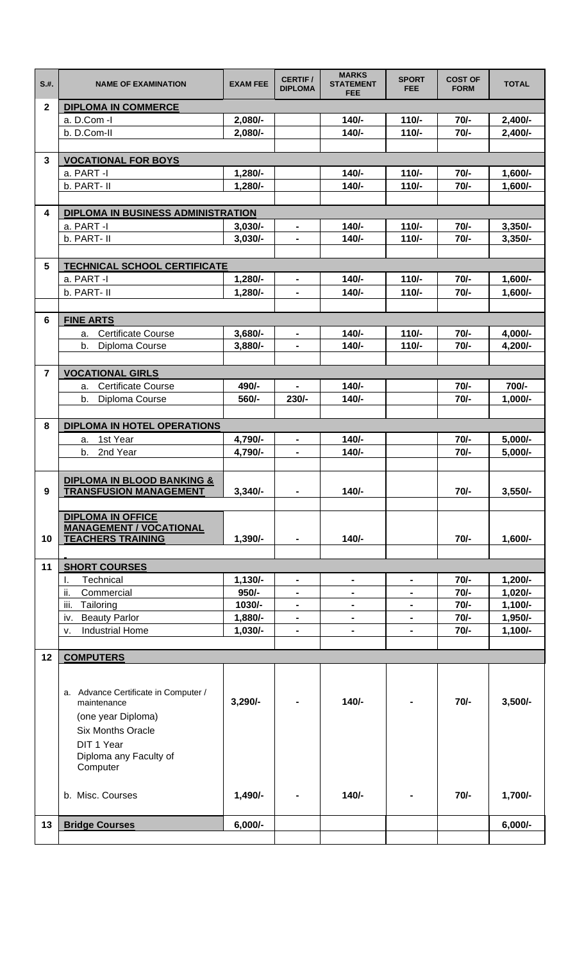| S.H.           | <b>NAME OF EXAMINATION</b>                                             | <b>EXAM FEE</b>        | <b>CERTIF /</b><br><b>DIPLOMA</b> | <b>MARKS</b><br><b>STATEMENT</b><br><b>FEE</b> | <b>SPORT</b><br><b>FEE</b> | <b>COST OF</b><br><b>FORM</b> | <b>TOTAL</b>           |
|----------------|------------------------------------------------------------------------|------------------------|-----------------------------------|------------------------------------------------|----------------------------|-------------------------------|------------------------|
| $\overline{2}$ | <b>DIPLOMA IN COMMERCE</b>                                             |                        |                                   |                                                |                            |                               |                        |
|                | a. D.Com -I                                                            | 2,080/-                |                                   | $140/-$                                        | $110/-$                    | $70/-$                        | $2,400/-$              |
|                | b. D.Com-II                                                            | 2,080/-                |                                   | $140/-$                                        | $110/-$                    | $70/-$                        | $2,400/-$              |
|                |                                                                        |                        |                                   |                                                |                            |                               |                        |
| 3              | <b>VOCATIONAL FOR BOYS</b>                                             |                        |                                   |                                                |                            |                               |                        |
|                | a. PART -I                                                             | $1,280/-$              |                                   | $140/-$                                        | $110/-$                    | $70/-$                        | $1,600/-$              |
|                | b. PART- II                                                            | $1,280/-$              |                                   | $140/-$                                        | $110/-$                    | $70/-$                        | $1,600/-$              |
|                |                                                                        |                        |                                   |                                                |                            |                               |                        |
| 4              | DIPLOMA IN BUSINESS ADMINISTRATION                                     |                        |                                   |                                                |                            |                               |                        |
|                | a. PART -I<br>b. PART- II                                              | $3,030/-$<br>$3,030/-$ | $\blacksquare$                    | $140/-$<br>$140/-$                             | $110/-$<br>$110/-$         | $70/-$<br>$70/-$              | $3,350/-$<br>$3,350/-$ |
|                |                                                                        |                        | $\blacksquare$                    |                                                |                            |                               |                        |
| 5              | <b>TECHNICAL SCHOOL CERTIFICATE</b>                                    |                        |                                   |                                                |                            |                               |                        |
|                | a. PART -I                                                             | $1,280/-$              | $\blacksquare$                    | $140/-$                                        | $110/-$                    | $70/-$                        | 1,600/-                |
|                | b. PART- II                                                            | $1,280/-$              | $\blacksquare$                    | $140/-$                                        | $110/-$                    | $70/-$                        | $1,600/-$              |
|                |                                                                        |                        |                                   |                                                |                            |                               |                        |
| 6              | <b>FINE ARTS</b>                                                       |                        |                                   |                                                |                            |                               |                        |
|                | <b>Certificate Course</b><br>a.                                        | $3,680/-$              | $\qquad \qquad \blacksquare$      | $140/-$                                        | $110/-$                    | $70/-$                        | 4,000/-                |
|                | b.<br>Diploma Course                                                   | $3,880/-$              | $\blacksquare$                    | $140/-$                                        | $110/-$                    | $70/-$                        | 4,200/-                |
|                |                                                                        |                        |                                   |                                                |                            |                               |                        |
| $\overline{7}$ | <b>VOCATIONAL GIRLS</b>                                                |                        |                                   |                                                |                            |                               |                        |
|                | <b>Certificate Course</b><br>а.                                        | 490/-                  |                                   | $140/-$                                        |                            | $70/-$                        | 700/-                  |
|                | b.<br>Diploma Course                                                   | 560/-                  | $230/-$                           | $140/-$                                        |                            | $70/-$                        | $1,000/-$              |
|                |                                                                        |                        |                                   |                                                |                            |                               |                        |
| 8              | <b>DIPLOMA IN HOTEL OPERATIONS</b>                                     |                        |                                   |                                                |                            |                               |                        |
|                | 1st Year<br>a.                                                         | 4,790/-                | $\blacksquare$                    | $140/-$                                        |                            | $70/-$                        | $5,000/-$              |
|                | b.<br>2nd Year                                                         | 4,790/-                | $\blacksquare$                    | $140/-$                                        |                            | $70/-$                        | $5,000/-$              |
|                |                                                                        |                        |                                   |                                                |                            |                               |                        |
| 9              | <b>DIPLOMA IN BLOOD BANKING &amp;</b><br><b>TRANSFUSION MANAGEMENT</b> | $3,340/-$              | $\blacksquare$                    | $140/-$                                        |                            | $70/-$                        | $3,550/-$              |
|                |                                                                        |                        |                                   |                                                |                            |                               |                        |
|                | <b>DIPLOMA IN OFFICE</b>                                               |                        |                                   |                                                |                            |                               |                        |
|                | <b>MANAGEMENT / VOCATIONAL</b>                                         |                        |                                   |                                                |                            |                               |                        |
| 10             | <b>TEACHERS TRAINING</b>                                               | $1,390/-$              |                                   | $140/-$                                        |                            | $70/-$                        | $1,600/-$              |
|                |                                                                        |                        |                                   |                                                |                            |                               |                        |
| 11             | <b>SHORT COURSES</b>                                                   |                        |                                   |                                                |                            |                               |                        |
|                | Technical<br>I.                                                        | $1,130/-$              | $\blacksquare$                    | $\blacksquare$                                 | $\blacksquare$             | $70/-$                        | $1,200/-$              |
|                | ii.<br>Commercial<br>iii.                                              | $950/-$                | $\blacksquare$                    | $\blacksquare$                                 | -                          | $70/-$                        | $1,020/-$              |
|                | Tailoring<br>iv. Beauty Parlor                                         | 1030/-<br>1,880/-      | $\blacksquare$<br>$\blacksquare$  | $\blacksquare$                                 | $\blacksquare$             | $70/-$<br>$70/-$              | $1,100/-$<br>1,950/-   |
|                | <b>Industrial Home</b><br>v.                                           | $1,030/-$              | $\blacksquare$                    |                                                |                            | $70/-$                        | $1,100/-$              |
|                |                                                                        |                        |                                   |                                                |                            |                               |                        |
| 12             | <b>COMPUTERS</b>                                                       |                        |                                   |                                                |                            |                               |                        |
|                |                                                                        |                        |                                   |                                                |                            |                               |                        |
|                |                                                                        |                        |                                   |                                                |                            |                               |                        |
|                | a. Advance Certificate in Computer /<br>maintenance                    | $3,290/-$              |                                   | $140/-$                                        |                            | $70/-$                        | $3,500/-$              |
|                | (one year Diploma)                                                     |                        |                                   |                                                |                            |                               |                        |
|                | <b>Six Months Oracle</b>                                               |                        |                                   |                                                |                            |                               |                        |
|                | DIT 1 Year                                                             |                        |                                   |                                                |                            |                               |                        |
|                | Diploma any Faculty of                                                 |                        |                                   |                                                |                            |                               |                        |
|                | Computer                                                               |                        |                                   |                                                |                            |                               |                        |
|                |                                                                        |                        |                                   |                                                |                            |                               |                        |
|                | b. Misc. Courses                                                       | $1,490/-$              |                                   | $140/-$                                        |                            | $70/-$                        | $1,700/-$              |
|                |                                                                        |                        |                                   |                                                |                            |                               |                        |
| 13             | <b>Bridge Courses</b>                                                  | $6,000/-$              |                                   |                                                |                            |                               | $6,000/-$              |
|                |                                                                        |                        |                                   |                                                |                            |                               |                        |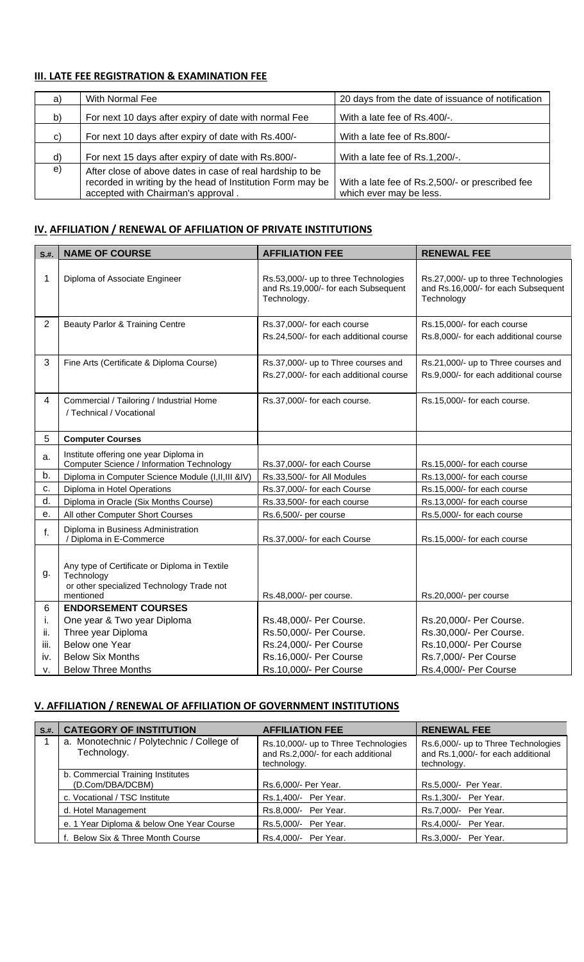#### **III. LATE FEE REGISTRATION & EXAMINATION FEE**

| a)           | With Normal Fee                                                                                                                                               | 20 days from the date of issuance of notification                          |
|--------------|---------------------------------------------------------------------------------------------------------------------------------------------------------------|----------------------------------------------------------------------------|
| b)           | For next 10 days after expiry of date with normal Fee                                                                                                         | With a late fee of Rs.400/-.                                               |
| C)           | For next 10 days after expiry of date with Rs.400/-                                                                                                           | With a late fee of Rs.800/-                                                |
| $\mathsf{d}$ | For next 15 days after expiry of date with Rs.800/-                                                                                                           | With a late fee of Rs.1,200/-.                                             |
| e)           | After close of above dates in case of real hardship to be<br>recorded in writing by the head of Institution Form may be<br>accepted with Chairman's approval. | With a late fee of Rs.2,500/- or prescribed fee<br>which ever may be less. |

#### **IV. AFFILIATION / RENEWAL OF AFFILIATION OF PRIVATE INSTITUTIONS**

| S.H.           | <b>NAME OF COURSE</b>                                                                                                 | <b>AFFILIATION FEE</b>                                                                     | <b>RENEWAL FEE</b>                                                                        |
|----------------|-----------------------------------------------------------------------------------------------------------------------|--------------------------------------------------------------------------------------------|-------------------------------------------------------------------------------------------|
| 1              | Diploma of Associate Engineer                                                                                         | Rs.53,000/- up to three Technologies<br>and Rs.19,000/- for each Subsequent<br>Technology. | Rs.27,000/- up to three Technologies<br>and Rs.16,000/- for each Subsequent<br>Technology |
| $\overline{2}$ | Beauty Parlor & Training Centre                                                                                       | Rs.37,000/- for each course<br>Rs.24,500/- for each additional course                      | Rs.15,000/- for each course<br>Rs.8,000/- for each additional course                      |
| 3              | Fine Arts (Certificate & Diploma Course)                                                                              | Rs.37,000/- up to Three courses and<br>Rs.27,000/- for each additional course              | Rs.21,000/- up to Three courses and<br>Rs.9,000/- for each additional course              |
| $\overline{4}$ | Commercial / Tailoring / Industrial Home<br>/ Technical / Vocational                                                  | Rs.37,000/- for each course.                                                               | Rs.15,000/- for each course.                                                              |
| 5              | <b>Computer Courses</b>                                                                                               |                                                                                            |                                                                                           |
| a.             | Institute offering one year Diploma in<br><b>Computer Science / Information Technology</b>                            | Rs.37,000/- for each Course                                                                | Rs.15,000/- for each course                                                               |
| b.             | Diploma in Computer Science Module (I,II,III &IV)                                                                     | Rs.33,500/- for All Modules                                                                | Rs.13,000/- for each course                                                               |
| c.             | Diploma in Hotel Operations                                                                                           | Rs.37,000/- for each Course                                                                | Rs.15,000/- for each course                                                               |
| d.             | Diploma in Oracle (Six Months Course)                                                                                 | Rs.33,500/- for each course                                                                | Rs.13,000/- for each course                                                               |
| е.             | All other Computer Short Courses                                                                                      | Rs.6,500/- per course                                                                      | Rs.5,000/- for each course                                                                |
| f.             | Diploma in Business Administration<br>/ Diploma in E-Commerce                                                         | Rs.37,000/- for each Course                                                                | Rs.15,000/- for each course                                                               |
| g.             | Any type of Certificate or Diploma in Textile<br>Technology<br>or other specialized Technology Trade not<br>mentioned | Rs.48,000/- per course.                                                                    | Rs.20,000/- per course                                                                    |
| 6              | <b>ENDORSEMENT COURSES</b>                                                                                            |                                                                                            |                                                                                           |
| Ι.             | One year & Two year Diploma                                                                                           | Rs.48,000/- Per Course.                                                                    | Rs.20,000/- Per Course.                                                                   |
| ii.            | Three year Diploma                                                                                                    | Rs.50,000/- Per Course.                                                                    | Rs.30,000/- Per Course.                                                                   |
| iii.           | Below one Year                                                                                                        | Rs.24,000/- Per Course                                                                     | Rs.10,000/- Per Course                                                                    |
| iv.            | <b>Below Six Months</b>                                                                                               | Rs.16,000/- Per Course                                                                     | Rs.7,000/- Per Course                                                                     |
| V.             | <b>Below Three Months</b>                                                                                             | Rs.10,000/- Per Course                                                                     | Rs.4,000/- Per Course                                                                     |

#### **V. AFFILIATION / RENEWAL OF AFFILIATION OF GOVERNMENT INSTITUTIONS**

| S.H. | <b>CATEGORY OF INSTITUTION</b>                           | <b>AFFILIATION FEE</b>                                                                    | <b>RENEWAL FEE</b>                                                                       |
|------|----------------------------------------------------------|-------------------------------------------------------------------------------------------|------------------------------------------------------------------------------------------|
|      | a. Monotechnic / Polytechnic / College of<br>Technology. | Rs.10,000/- up to Three Technologies<br>and Rs.2,000/- for each additional<br>technology. | Rs.6,000/- up to Three Technologies<br>and Rs.1,000/- for each additional<br>technology. |
|      | b. Commercial Training Institutes<br>(D.Com/DBA/DCBM)    | Rs.6,000/- Per Year.                                                                      | Rs.5,000/- Per Year.                                                                     |
|      | c. Vocational / TSC Institute                            | Rs.1,400/- Per Year.                                                                      | Rs.1,300/- Per Year.                                                                     |
|      | d. Hotel Management                                      | Rs.8,000/- Per Year.                                                                      | Rs.7,000/- Per Year.                                                                     |
|      | e. 1 Year Diploma & below One Year Course                | Rs.5,000/- Per Year.                                                                      | Rs.4,000/- Per Year.                                                                     |
|      | f. Below Six & Three Month Course                        | Per Year.<br>Rs.4,000/-                                                                   | Rs.3,000/- Per Year.                                                                     |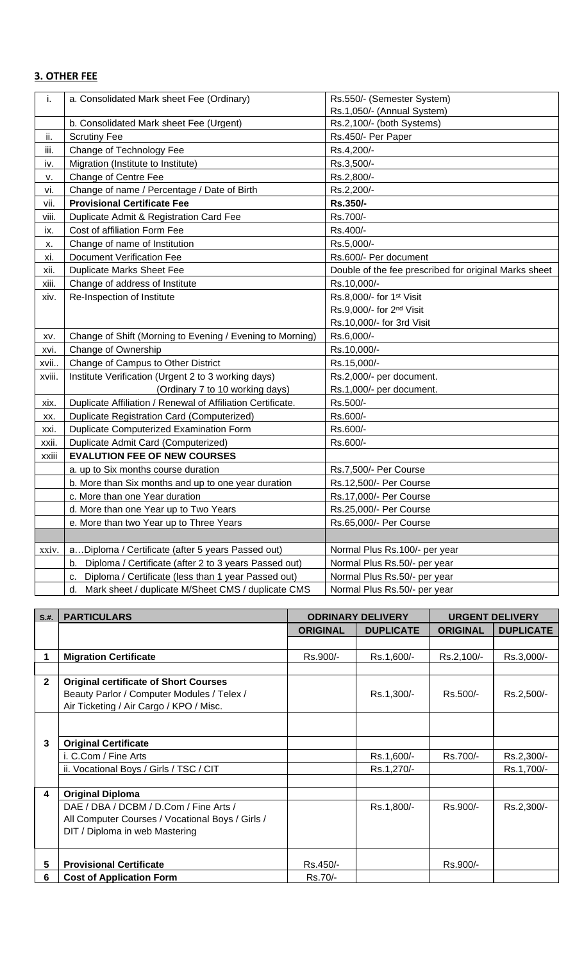#### **3. OTHER FEE**

| i.     | a. Consolidated Mark sheet Fee (Ordinary)                   | Rs.550/- (Semester System)                            |
|--------|-------------------------------------------------------------|-------------------------------------------------------|
|        |                                                             | Rs.1,050/- (Annual System)                            |
|        | b. Consolidated Mark sheet Fee (Urgent)                     | Rs.2,100/- (both Systems)                             |
| ii.    | <b>Scrutiny Fee</b>                                         | Rs.450/- Per Paper                                    |
| iii.   | Change of Technology Fee                                    | Rs.4,200/-                                            |
| iv.    | Migration (Institute to Institute)                          | Rs.3,500/-                                            |
| v.     | Change of Centre Fee                                        | Rs.2,800/-                                            |
| vi.    | Change of name / Percentage / Date of Birth                 | Rs.2,200/-                                            |
| vii.   | <b>Provisional Certificate Fee</b>                          | Rs.350/-                                              |
| viii.  | Duplicate Admit & Registration Card Fee                     | Rs.700/-                                              |
| ix.    | Cost of affiliation Form Fee                                | Rs.400/-                                              |
| Х.     | Change of name of Institution                               | Rs.5,000/-                                            |
| xi.    | <b>Document Verification Fee</b>                            | Rs.600/- Per document                                 |
| xii.   | <b>Duplicate Marks Sheet Fee</b>                            | Double of the fee prescribed for original Marks sheet |
| xiii.  | Change of address of Institute                              | Rs.10,000/-                                           |
| xiv.   | Re-Inspection of Institute                                  | Rs.8,000/- for 1st Visit                              |
|        |                                                             | Rs.9,000/- for 2 <sup>nd</sup> Visit                  |
|        |                                                             | Rs.10,000/- for 3rd Visit                             |
| XV.    | Change of Shift (Morning to Evening / Evening to Morning)   | Rs.6,000/-                                            |
| xvi.   | Change of Ownership                                         | Rs.10,000/-                                           |
| xvii   | Change of Campus to Other District                          | Rs.15,000/-                                           |
| xviii. | Institute Verification (Urgent 2 to 3 working days)         | Rs.2,000/- per document.                              |
|        | (Ordinary 7 to 10 working days)                             | Rs.1,000/- per document.                              |
| xix.   | Duplicate Affiliation / Renewal of Affiliation Certificate. | Rs.500/-                                              |
| XX.    | Duplicate Registration Card (Computerized)                  | Rs.600/-                                              |
| xxi.   | <b>Duplicate Computerized Examination Form</b>              | Rs.600/-                                              |
| xxii.  | Duplicate Admit Card (Computerized)                         | Rs.600/-                                              |
| xxiii  | <b>EVALUTION FEE OF NEW COURSES</b>                         |                                                       |
|        | a. up to Six months course duration                         | Rs.7,500/- Per Course                                 |
|        | b. More than Six months and up to one year duration         | Rs.12,500/- Per Course                                |
|        | c. More than one Year duration                              | Rs.17,000/- Per Course                                |
|        | d. More than one Year up to Two Years                       | Rs.25,000/- Per Course                                |
|        | e. More than two Year up to Three Years                     | Rs.65,000/- Per Course                                |
|        |                                                             |                                                       |
| xxiv.  | aDiploma / Certificate (after 5 years Passed out)           | Normal Plus Rs.100/- per year                         |
|        | Diploma / Certificate (after 2 to 3 years Passed out)<br>b. | Normal Plus Rs.50/- per year                          |
|        | Diploma / Certificate (less than 1 year Passed out)<br>c.   | Normal Plus Rs.50/- per year                          |
|        | Mark sheet / duplicate M/Sheet CMS / duplicate CMS<br>d.    | Normal Plus Rs.50/- per year                          |

| S.H.         | <b>PARTICULARS</b>                                                                                                                    |                 | <b>ODRINARY DELIVERY</b> |                 | <b>URGENT DELIVERY</b> |
|--------------|---------------------------------------------------------------------------------------------------------------------------------------|-----------------|--------------------------|-----------------|------------------------|
|              |                                                                                                                                       | <b>ORIGINAL</b> | <b>DUPLICATE</b>         | <b>ORIGINAL</b> | <b>DUPLICATE</b>       |
|              |                                                                                                                                       |                 |                          |                 |                        |
|              | <b>Migration Certificate</b>                                                                                                          | Rs.900/-        | Rs.1,600/-               | Rs.2,100/-      | Rs.3,000/-             |
|              |                                                                                                                                       |                 |                          |                 |                        |
| $\mathbf{2}$ | <b>Original certificate of Short Courses</b><br>Beauty Parlor / Computer Modules / Telex /<br>Air Ticketing / Air Cargo / KPO / Misc. |                 | Rs.1,300/-               | Rs.500/-        | Rs.2,500/-             |
|              |                                                                                                                                       |                 |                          |                 |                        |
| 3            | <b>Original Certificate</b>                                                                                                           |                 |                          |                 |                        |
|              | i. C.Com / Fine Arts                                                                                                                  |                 | Rs.1,600/-               | Rs.700/-        | Rs.2,300/-             |
|              | ii. Vocational Boys / Girls / TSC / CIT                                                                                               |                 | Rs.1,270/-               |                 | Rs.1,700/-             |
|              |                                                                                                                                       |                 |                          |                 |                        |
| 4            | <b>Original Diploma</b>                                                                                                               |                 |                          |                 |                        |
|              | DAE / DBA / DCBM / D.Com / Fine Arts /                                                                                                |                 | Rs.1,800/-               | Rs.900/-        | Rs.2,300/-             |
|              | All Computer Courses / Vocational Boys / Girls /                                                                                      |                 |                          |                 |                        |
|              | DIT / Diploma in web Mastering                                                                                                        |                 |                          |                 |                        |
| 5            | <b>Provisional Certificate</b>                                                                                                        | Rs.450/-        |                          | Rs.900/-        |                        |
| 6            | <b>Cost of Application Form</b>                                                                                                       | Rs.70/-         |                          |                 |                        |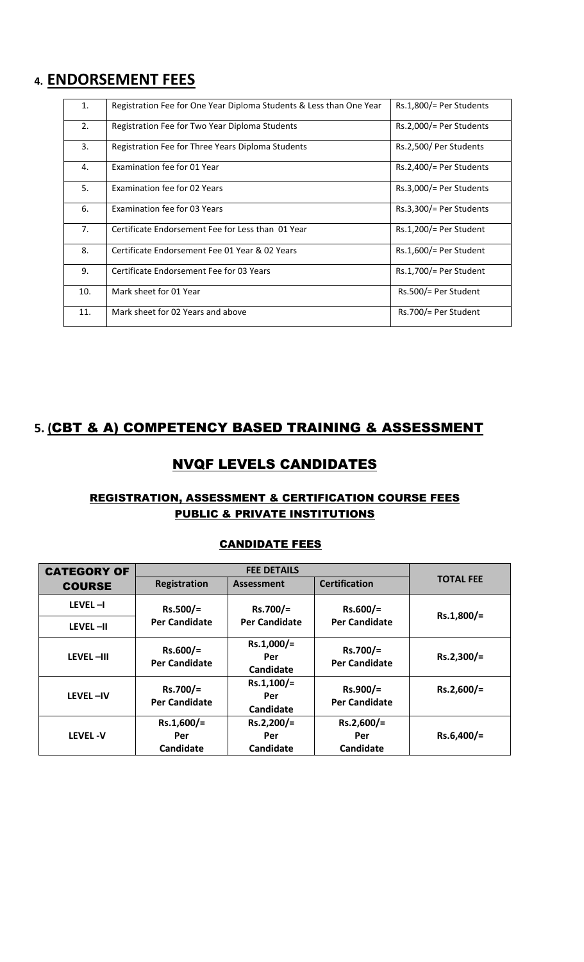# **4. ENDORSEMENT FEES**

| 1.               | Registration Fee for One Year Diploma Students & Less than One Year | $Rs.1,800/=$ Per Students |
|------------------|---------------------------------------------------------------------|---------------------------|
| 2.               | Registration Fee for Two Year Diploma Students                      | $Rs.2,000/=$ Per Students |
| $\overline{3}$ . | Registration Fee for Three Years Diploma Students                   | Rs.2,500/ Per Students    |
| 4.               | Examination fee for 01 Year                                         | $Rs.2,400/=$ Per Students |
| 5.               | Examination fee for 02 Years                                        | $Rs.3,000/=$ Per Students |
| 6.               | Examination fee for 03 Years                                        | $Rs.3,300/=$ Per Students |
| 7.               | Certificate Endorsement Fee for Less than 01 Year                   | $Rs.1,200/=$ Per Student  |
| 8.               | Certificate Endorsement Fee 01 Year & 02 Years                      | $Rs.1,600/=$ Per Student  |
| 9.               | Certificate Endorsement Fee for 03 Years                            | $Rs.1,700/=$ Per Student  |
| 10.              | Mark sheet for 01 Year                                              | Rs.500/= Per Student      |
| 11.              | Mark sheet for 02 Years and above                                   | Rs.700/= Per Student      |

# **5. (**CBT & A) COMPETENCY BASED TRAINING & ASSESSMENT

## NVQF LEVELS CANDIDATES

#### REGISTRATION, ASSESSMENT & CERTIFICATION COURSE FEES PUBLIC & PRIVATE INSTITUTIONS

#### **CANDIDATE FEES**

| <b>CATEGORY OF</b> |                                    | <b>FEE DETAILS</b>               |                                    |                  |
|--------------------|------------------------------------|----------------------------------|------------------------------------|------------------|
| <b>COURSE</b>      | <b>Registration</b>                | <b>Assessment</b>                | <b>Certification</b>               | <b>TOTAL FEE</b> |
| $LEVEL - I$        | $Rs.500/=$                         | Rs.700/=                         | $Rs.600/=$                         | Rs.1,800/=       |
| LEVEL-II           | <b>Per Candidate</b>               | <b>Per Candidate</b>             | <b>Per Candidate</b>               |                  |
| LEVEL-III          | $Rs.600/=$<br><b>Per Candidate</b> | $Rs.1,000/=$<br>Per<br>Candidate | $Rs.700/=$<br><b>Per Candidate</b> | Rs.2,300/=       |
| LEVEL-IV           | Rs.700/=<br><b>Per Candidate</b>   | $Rs.1,100/=$<br>Per<br>Candidate | $Rs.900/=$<br><b>Per Candidate</b> | $Rs.2,600/=$     |
| <b>LEVEL-V</b>     | $Rs.1,600/=$<br>Per<br>Candidate   | $Rs.2,200/=$<br>Per<br>Candidate | $Rs.2,600/=$<br>Per<br>Candidate   | $Rs.6,400/=$     |
|                    |                                    |                                  |                                    |                  |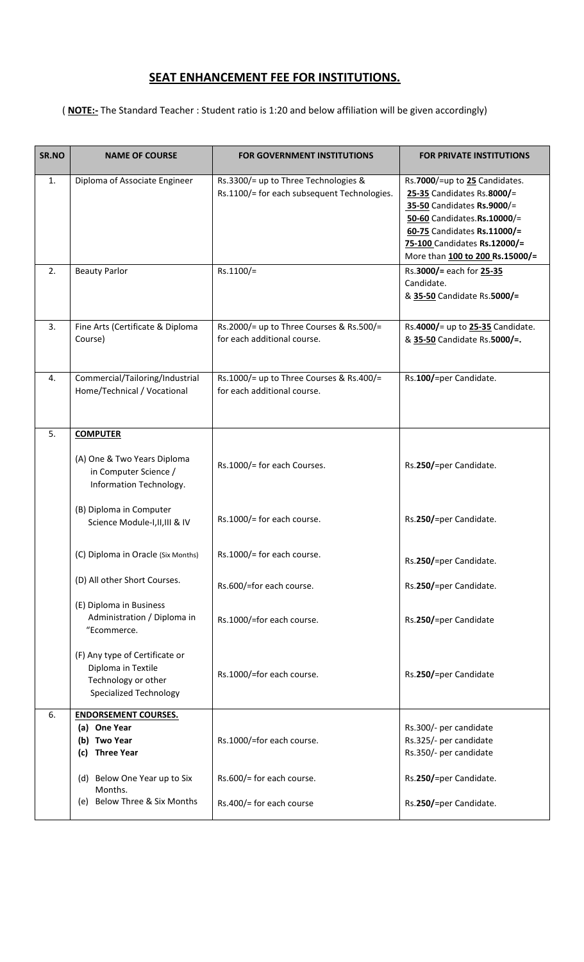# **SEAT ENHANCEMENT FEE FOR INSTITUTIONS.**

( **NOTE:-** The Standard Teacher : Student ratio is 1:20 and below affiliation will be given accordingly)

| SR.NO | <b>NAME OF COURSE</b>                                                                                        | <b>FOR GOVERNMENT INSTITUTIONS</b>                                                  | <b>FOR PRIVATE INSTITUTIONS</b>                                                                                                                                                                                            |
|-------|--------------------------------------------------------------------------------------------------------------|-------------------------------------------------------------------------------------|----------------------------------------------------------------------------------------------------------------------------------------------------------------------------------------------------------------------------|
| 1.    | Diploma of Associate Engineer                                                                                | Rs.3300/= up to Three Technologies &<br>Rs.1100/= for each subsequent Technologies. | Rs.7000/=up to 25 Candidates.<br>25-35 Candidates Rs.8000/=<br>35-50 Candidates Rs.9000/=<br>50-60 Candidates.Rs.10000/=<br>60-75 Candidates Rs.11000/=<br>75-100 Candidates Rs.12000/=<br>More than 100 to 200 Rs.15000/= |
| 2.    | <b>Beauty Parlor</b>                                                                                         | Rs.1100/=                                                                           | Rs.3000/= each for 25-35<br>Candidate.<br>& 35-50 Candidate Rs.5000/=                                                                                                                                                      |
| 3.    | Fine Arts (Certificate & Diploma<br>Course)                                                                  | Rs.2000/= up to Three Courses & Rs.500/=<br>for each additional course.             | Rs.4000/= up to 25-35 Candidate.<br>& 35-50 Candidate Rs.5000/=.                                                                                                                                                           |
| 4.    | Commercial/Tailoring/Industrial<br>Home/Technical / Vocational                                               | Rs.1000/= up to Three Courses & Rs.400/=<br>for each additional course.             | Rs.100/=per Candidate.                                                                                                                                                                                                     |
| 5.    | <b>COMPUTER</b>                                                                                              |                                                                                     |                                                                                                                                                                                                                            |
|       | (A) One & Two Years Diploma<br>in Computer Science /<br>Information Technology.                              | Rs.1000/= for each Courses.                                                         | Rs.250/=per Candidate.                                                                                                                                                                                                     |
|       | (B) Diploma in Computer<br>Science Module-I, II, III & IV                                                    | Rs.1000/= for each course.                                                          | Rs.250/=per Candidate.                                                                                                                                                                                                     |
|       | (C) Diploma in Oracle (Six Months)                                                                           | Rs.1000/= for each course.                                                          | Rs.250/=per Candidate.                                                                                                                                                                                                     |
|       | (D) All other Short Courses.                                                                                 | Rs.600/=for each course.                                                            | Rs.250/=per Candidate.                                                                                                                                                                                                     |
|       | (E) Diploma in Business<br>Administration / Diploma in<br>"Ecommerce.                                        | Rs.1000/=for each course.                                                           | Rs.250/=per Candidate                                                                                                                                                                                                      |
|       | (F) Any type of Certificate or<br>Diploma in Textile<br>Technology or other<br><b>Specialized Technology</b> | Rs.1000/=for each course.                                                           | Rs.250/=per Candidate                                                                                                                                                                                                      |
| 6.    | <b>ENDORSEMENT COURSES.</b><br>(a) One Year<br>(b) Two Year<br><b>Three Year</b><br>(c)                      | Rs.1000/=for each course.                                                           | Rs.300/- per candidate<br>Rs.325/- per candidate<br>Rs.350/- per candidate                                                                                                                                                 |
|       | (d) Below One Year up to Six<br>Months.                                                                      | Rs.600/= for each course.                                                           | Rs.250/=per Candidate.                                                                                                                                                                                                     |
|       | (e) Below Three & Six Months                                                                                 | Rs.400/= for each course                                                            | Rs.250/=per Candidate.                                                                                                                                                                                                     |